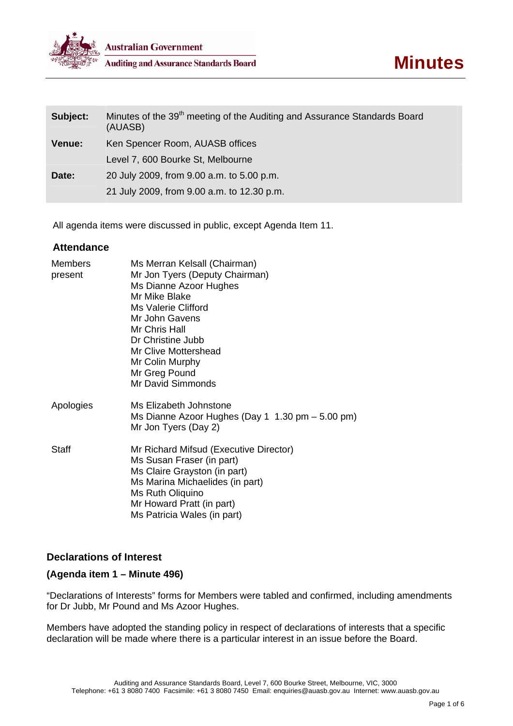

| Subject:      | Minutes of the 39 <sup>th</sup> meeting of the Auditing and Assurance Standards Board<br>(AUASB) |
|---------------|--------------------------------------------------------------------------------------------------|
| <b>Venue:</b> | Ken Spencer Room, AUASB offices                                                                  |
|               | Level 7, 600 Bourke St, Melbourne                                                                |
| Date:         | 20 July 2009, from 9.00 a.m. to 5.00 p.m.                                                        |
|               | 21 July 2009, from 9.00 a.m. to 12.30 p.m.                                                       |

All agenda items were discussed in public, except Agenda Item 11.

## **Attendance**

| <b>Members</b><br>present | Ms Merran Kelsall (Chairman)<br>Mr Jon Tyers (Deputy Chairman)<br>Ms Dianne Azoor Hughes<br>Mr Mike Blake<br>Ms Valerie Clifford<br>Mr John Gavens<br>Mr Chris Hall<br>Dr Christine Jubb<br>Mr Clive Mottershead<br>Mr Colin Murphy<br>Mr Greg Pound<br>Mr David Simmonds |
|---------------------------|---------------------------------------------------------------------------------------------------------------------------------------------------------------------------------------------------------------------------------------------------------------------------|
| Apologies                 | Ms Elizabeth Johnstone<br>Ms Dianne Azoor Hughes (Day 1 $1.30$ pm $-5.00$ pm)<br>Mr Jon Tyers (Day 2)                                                                                                                                                                     |
| Staff                     | Mr Richard Mifsud (Executive Director)<br>Ms Susan Fraser (in part)<br>Ms Claire Grayston (in part)<br>Ms Marina Michaelides (in part)<br>Ms Ruth Oliquino<br>Mr Howard Pratt (in part)<br>Ms Patricia Wales (in part)                                                    |

# **Declarations of Interest**

# **(Agenda item 1 – Minute 496)**

"Declarations of Interests" forms for Members were tabled and confirmed, including amendments for Dr Jubb, Mr Pound and Ms Azoor Hughes.

Members have adopted the standing policy in respect of declarations of interests that a specific declaration will be made where there is a particular interest in an issue before the Board.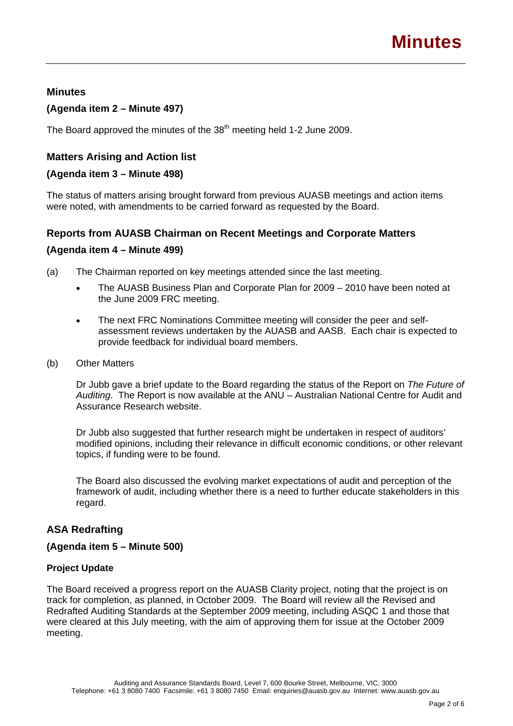## **Minutes**

## **(Agenda item 2 – Minute 497)**

The Board approved the minutes of the 38<sup>th</sup> meeting held 1-2 June 2009.

# **Matters Arising and Action list**

## **(Agenda item 3 – Minute 498)**

The status of matters arising brought forward from previous AUASB meetings and action items were noted, with amendments to be carried forward as requested by the Board.

## **Reports from AUASB Chairman on Recent Meetings and Corporate Matters**

## **(Agenda item 4 – Minute 499)**

(a) The Chairman reported on key meetings attended since the last meeting.

- The AUASB Business Plan and Corporate Plan for 2009 2010 have been noted at the June 2009 FRC meeting.
- The next FRC Nominations Committee meeting will consider the peer and selfassessment reviews undertaken by the AUASB and AASB. Each chair is expected to provide feedback for individual board members.
- (b) Other Matters

Dr Jubb gave a brief update to the Board regarding the status of the Report on *The Future of Auditing*. The Report is now available at the ANU – Australian National Centre for Audit and Assurance Research website.

Dr Jubb also suggested that further research might be undertaken in respect of auditors' modified opinions, including their relevance in difficult economic conditions, or other relevant topics, if funding were to be found.

The Board also discussed the evolving market expectations of audit and perception of the framework of audit, including whether there is a need to further educate stakeholders in this regard.

# **ASA Redrafting**

## **(Agenda item 5 – Minute 500)**

## **Project Update**

The Board received a progress report on the AUASB Clarity project, noting that the project is on track for completion, as planned, in October 2009. The Board will review all the Revised and Redrafted Auditing Standards at the September 2009 meeting, including ASQC 1 and those that were cleared at this July meeting, with the aim of approving them for issue at the October 2009 meeting.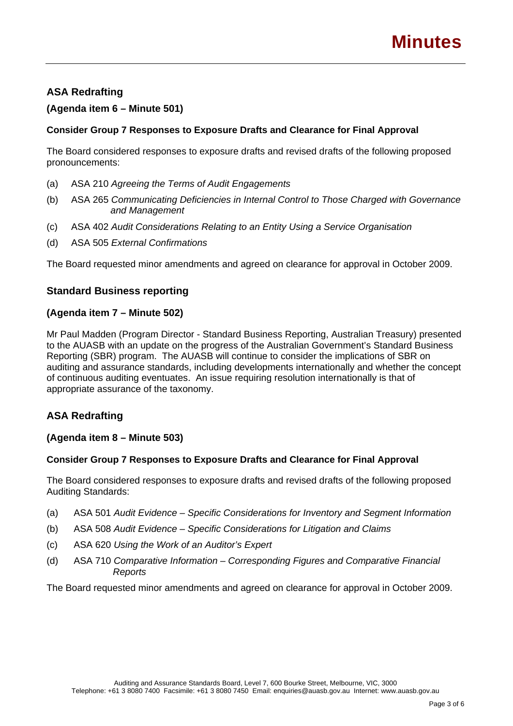# **ASA Redrafting**

## **(Agenda item 6 – Minute 501)**

## **Consider Group 7 Responses to Exposure Drafts and Clearance for Final Approval**

The Board considered responses to exposure drafts and revised drafts of the following proposed pronouncements:

- (a) ASA 210 *Agreeing the Terms of Audit Engagements*
- (b) ASA 265 *Communicating Deficiencies in Internal Control to Those Charged with Governance and Management*
- (c) ASA 402 *Audit Considerations Relating to an Entity Using a Service Organisation*
- (d) ASA 505 *External Confirmations*

The Board requested minor amendments and agreed on clearance for approval in October 2009.

# **Standard Business reporting**

## **(Agenda item 7 – Minute 502)**

Mr Paul Madden (Program Director - Standard Business Reporting, Australian Treasury) presented to the AUASB with an update on the progress of the Australian Government's Standard Business Reporting (SBR) program. The AUASB will continue to consider the implications of SBR on auditing and assurance standards, including developments internationally and whether the concept of continuous auditing eventuates. An issue requiring resolution internationally is that of appropriate assurance of the taxonomy.

# **ASA Redrafting**

## **(Agenda item 8 – Minute 503)**

## **Consider Group 7 Responses to Exposure Drafts and Clearance for Final Approval**

The Board considered responses to exposure drafts and revised drafts of the following proposed Auditing Standards:

- (a) ASA 501 *Audit Evidence Specific Considerations for Inventory and Segment Information*
- (b) ASA 508 *Audit Evidence Specific Considerations for Litigation and Claims*
- (c) ASA 620 *Using the Work of an Auditor's Expert*
- (d) ASA 710 *Comparative Information Corresponding Figures and Comparative Financial Reports*

The Board requested minor amendments and agreed on clearance for approval in October 2009.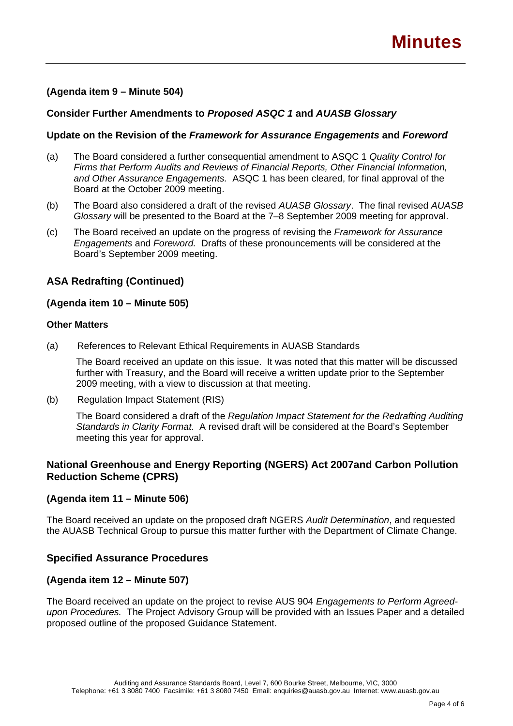## **(Agenda item 9 – Minute 504)**

## **Consider Further Amendments to** *Proposed ASQC 1* **and** *AUASB Glossary*

#### **Update on the Revision of the** *Framework for Assurance Engagements* **and** *Foreword*

- (a) The Board considered a further consequential amendment to ASQC 1 *Quality Control for Firms that Perform Audits and Reviews of Financial Reports, Other Financial Information, and Other Assurance Engagements.* ASQC 1 has been cleared, for final approval of the Board at the October 2009 meeting.
- (b) The Board also considered a draft of the revised *AUASB Glossary*. The final revised *AUASB Glossary* will be presented to the Board at the 7–8 September 2009 meeting for approval.
- (c) The Board received an update on the progress of revising the *Framework for Assurance Engagements* and *Foreword.* Drafts of these pronouncements will be considered at the Board's September 2009 meeting.

## **ASA Redrafting (Continued)**

#### **(Agenda item 10 – Minute 505)**

#### **Other Matters**

(a) References to Relevant Ethical Requirements in AUASB Standards

The Board received an update on this issue. It was noted that this matter will be discussed further with Treasury, and the Board will receive a written update prior to the September 2009 meeting, with a view to discussion at that meeting.

(b) Regulation Impact Statement (RIS)

The Board considered a draft of the *Regulation Impact Statement for the Redrafting Auditing Standards in Clarity Format.* A revised draft will be considered at the Board's September meeting this year for approval.

# **National Greenhouse and Energy Reporting (NGERS) Act 2007and Carbon Pollution Reduction Scheme (CPRS)**

## **(Agenda item 11 – Minute 506)**

The Board received an update on the proposed draft NGERS *Audit Determination*, and requested the AUASB Technical Group to pursue this matter further with the Department of Climate Change.

## **Specified Assurance Procedures**

## **(Agenda item 12 – Minute 507)**

The Board received an update on the project to revise AUS 904 *Engagements to Perform Agreedupon Procedures.* The Project Advisory Group will be provided with an Issues Paper and a detailed proposed outline of the proposed Guidance Statement.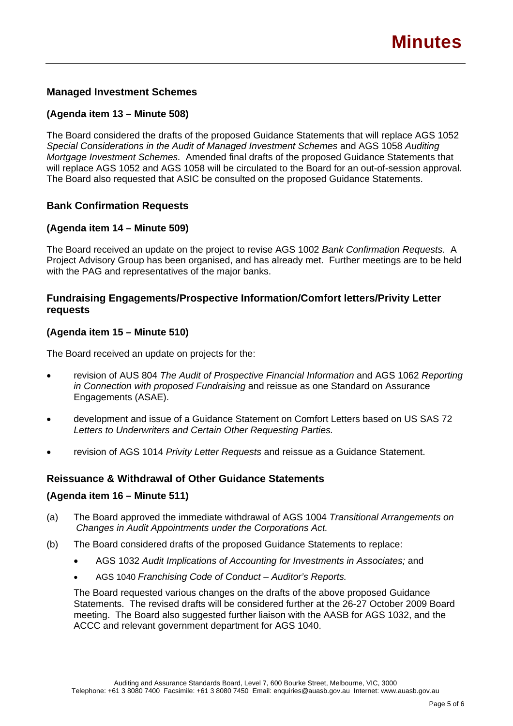# **Managed Investment Schemes**

## **(Agenda item 13 – Minute 508)**

The Board considered the drafts of the proposed Guidance Statements that will replace AGS 1052 *Special Considerations in the Audit of Managed Investment Schemes* and AGS 1058 *Auditing Mortgage Investment Schemes.* Amended final drafts of the proposed Guidance Statements that will replace AGS 1052 and AGS 1058 will be circulated to the Board for an out-of-session approval. The Board also requested that ASIC be consulted on the proposed Guidance Statements.

## **Bank Confirmation Requests**

## **(Agenda item 14 – Minute 509)**

The Board received an update on the project to revise AGS 1002 *Bank Confirmation Requests.* A Project Advisory Group has been organised, and has already met. Further meetings are to be held with the PAG and representatives of the major banks.

## **Fundraising Engagements/Prospective Information/Comfort letters/Privity Letter requests**

## **(Agenda item 15 – Minute 510)**

The Board received an update on projects for the:

- revision of AUS 804 *The Audit of Prospective Financial Information* and AGS 1062 *Reporting in Connection with proposed Fundraising* and reissue as one Standard on Assurance Engagements (ASAE).
- development and issue of a Guidance Statement on Comfort Letters based on US SAS 72 *Letters to Underwriters and Certain Other Requesting Parties.*
- revision of AGS 1014 *Privity Letter Requests* and reissue as a Guidance Statement.

#### **Reissuance & Withdrawal of Other Guidance Statements**

#### **(Agenda item 16 – Minute 511)**

- (a) The Board approved the immediate withdrawal of AGS 1004 *Transitional Arrangements on Changes in Audit Appointments under the Corporations Act.*
- (b) The Board considered drafts of the proposed Guidance Statements to replace:
	- AGS 1032 *Audit Implications of Accounting for Investments in Associates;* and
	- AGS 1040 *Franchising Code of Conduct Auditor's Reports.*

The Board requested various changes on the drafts of the above proposed Guidance Statements. The revised drafts will be considered further at the 26-27 October 2009 Board meeting. The Board also suggested further liaison with the AASB for AGS 1032, and the ACCC and relevant government department for AGS 1040.